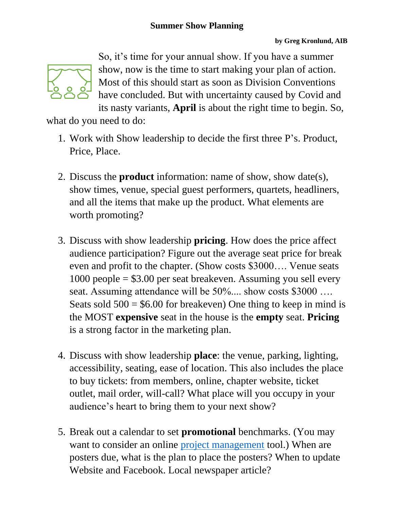

So, it's time for your annual show. If you have a summer show, now is the time to start making your plan of action. Most of this should start as soon as Division Conventions have concluded. But with uncertainty caused by Covid and its nasty variants, **April** is about the right time to begin. So,

what do you need to do:

- 1. Work with Show leadership to decide the first three P's. Product, Price, Place.
- 2. Discuss the **product** information: name of show, show date(s), show times, venue, special guest performers, quartets, headliners, and all the items that make up the product. What elements are worth promoting?
- 3. Discuss with show leadership **pricing**. How does the price affect audience participation? Figure out the average seat price for break even and profit to the chapter. (Show costs \$3000…. Venue seats 1000 people = \$3.00 per seat breakeven. Assuming you sell every seat. Assuming attendance will be 50%.... show costs \$3000 .... Seats sold  $500 = $6.00$  for breakeven) One thing to keep in mind is the MOST **expensive** seat in the house is the **empty** seat. **Pricing** is a strong factor in the marketing plan.
- 4. Discuss with show leadership **place**: the venue, parking, lighting, accessibility, seating, ease of location. This also includes the place to buy tickets: from members, online, chapter website, ticket outlet, mail order, will-call? What place will you occupy in your audience's heart to bring them to your next show?
- 5. Break out a calendar to set **promotional** benchmarks. (You may want to consider an online [project management](https://blog.capterra.com/best-free-project-management-software/) tool.) When are posters due, what is the plan to place the posters? When to update Website and Facebook. Local newspaper article?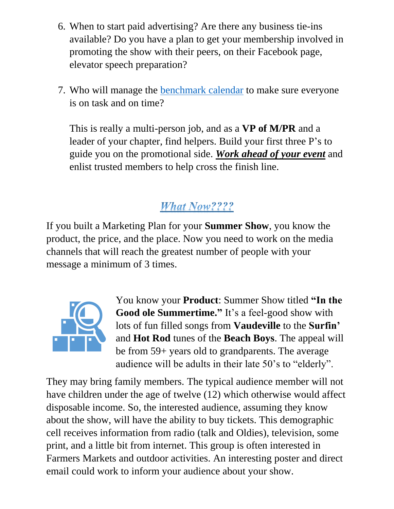- 6. When to start paid advertising? Are there any business tie-ins available? Do you have a plan to get your membership involved in promoting the show with their peers, on their Facebook page, elevator speech preparation?
- 7. Who will manage the [benchmark calendar](https://fundraisingip.com/create-nonprofit-benchmarks/) to make sure everyone is on task and on time?

This is really a multi-person job, and as a **VP of M/PR** and a leader of your chapter, find helpers. Build your first three P's to guide you on the promotional side. *Work ahead of your event* and enlist trusted members to help cross the finish line.

## **What Now????**

If you built a Marketing Plan for your **Summer Show**, you know the product, the price, and the place. Now you need to work on the media channels that will reach the greatest number of people with your message a minimum of 3 times.



You know your **Product**: Summer Show titled **"In the Good ole Summertime."** It's a feel-good show with lots of fun filled songs from **Vaudeville** to the **Surfin'** and **Hot Rod** tunes of the **Beach Boys**. The appeal will be from 59+ years old to grandparents. The average audience will be adults in their late 50's to "elderly".

They may bring family members. The typical audience member will not have children under the age of twelve (12) which otherwise would affect disposable income. So, the interested audience, assuming they know about the show, will have the ability to buy tickets. This demographic cell receives information from radio (talk and Oldies), television, some print, and a little bit from internet. This group is often interested in Farmers Markets and outdoor activities. An interesting poster and direct email could work to inform your audience about your show.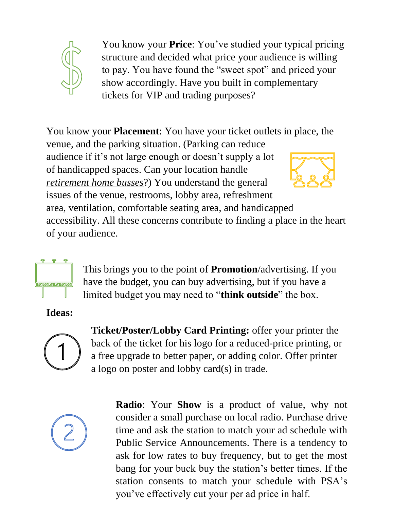

You know your **Price**: You've studied your typical pricing structure and decided what price your audience is willing to pay. You have found the "sweet spot" and priced your show accordingly. Have you built in complementary tickets for VIP and trading purposes?

You know your **Placement**: You have your ticket outlets in place, the venue, and the parking situation. (Parking can reduce audience if it's not large enough or doesn't supply a lot of handicapped spaces. Can your location handle *retirement home busses*?) You understand the general issues of the venue, restrooms, lobby area, refreshment area, ventilation, comfortable seating area, and handicapped accessibility. All these concerns contribute to finding a place in the heart of your audience.



This brings you to the point of **Promotion**/advertising. If you have the budget, you can buy advertising, but if you have a limited budget you may need to "**think outside**" the box.

**Ideas:**



**Ticket/Poster/Lobby Card Printing:** offer your printer the back of the ticket for his logo for a reduced-price printing, or a free upgrade to better paper, or adding color. Offer printer a logo on poster and lobby card(s) in trade.



**Radio**: Your **Show** is a product of value, why not consider a small purchase on local radio. Purchase drive time and ask the station to match your ad schedule with Public Service Announcements. There is a tendency to ask for low rates to buy frequency, but to get the most bang for your buck buy the station's better times. If the station consents to match your schedule with PSA's you've effectively cut your per ad price in half.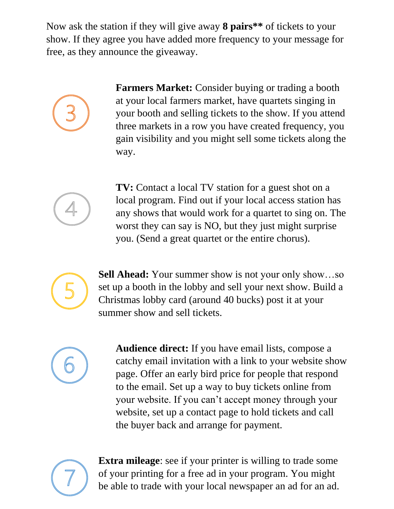Now ask the station if they will give away **8 pairs\*\*** of tickets to your show. If they agree you have added more frequency to your message for free, as they announce the giveaway.



**Farmers Market:** Consider buying or trading a booth at your local farmers market, have quartets singing in your booth and selling tickets to the show. If you attend three markets in a row you have created frequency, you gain visibility and you might sell some tickets along the way.



**TV:** Contact a local TV station for a guest shot on a local program. Find out if your local access station has any shows that would work for a quartet to sing on. The worst they can say is NO, but they just might surprise you. (Send a great quartet or the entire chorus).



**Sell Ahead:** Your summer show is not your only show…so set up a booth in the lobby and sell your next show. Build a Christmas lobby card (around 40 bucks) post it at your summer show and sell tickets.



**Audience direct:** If you have email lists, compose a catchy email invitation with a link to your website show page. Offer an early bird price for people that respond to the email. Set up a way to buy tickets online from your website. If you can't accept money through your website, set up a contact page to hold tickets and call the buyer back and arrange for payment.



**Extra mileage:** see if your printer is willing to trade some of your printing for a free ad in your program. You might be able to trade with your local newspaper an ad for an ad.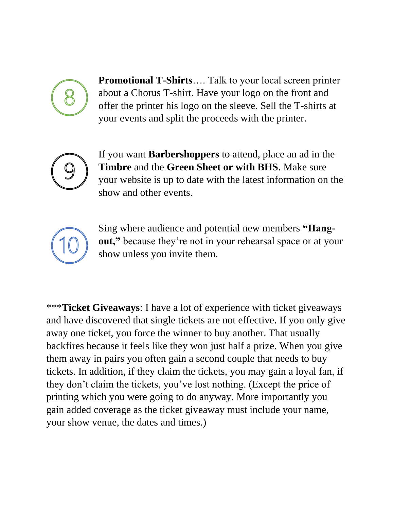

**Promotional T-Shirts**…. Talk to your local screen printer about a Chorus T-shirt. Have your logo on the front and offer the printer his logo on the sleeve. Sell the T-shirts at your events and split the proceeds with the printer.



If you want **Barbershoppers** to attend, place an ad in the **Timbre** and the **Green Sheet or with BHS**. Make sure your website is up to date with the latest information on the show and other events.



Sing where audience and potential new members **"Hangout,"** because they're not in your rehearsal space or at your show unless you invite them.

\*\*\***Ticket Giveaways**: I have a lot of experience with ticket giveaways and have discovered that single tickets are not effective. If you only give away one ticket, you force the winner to buy another. That usually backfires because it feels like they won just half a prize. When you give them away in pairs you often gain a second couple that needs to buy tickets. In addition, if they claim the tickets, you may gain a loyal fan, if they don't claim the tickets, you've lost nothing. (Except the price of printing which you were going to do anyway. More importantly you gain added coverage as the ticket giveaway must include your name, your show venue, the dates and times.)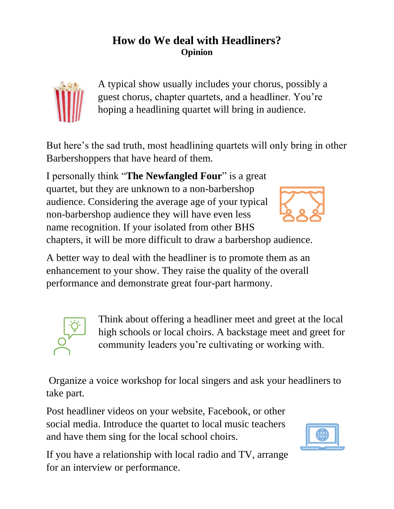## **How do We deal with Headliners? Opinion**



A typical show usually includes your chorus, possibly a guest chorus, chapter quartets, and a headliner. You're hoping a headlining quartet will bring in audience.

But here's the sad truth, most headlining quartets will only bring in other Barbershoppers that have heard of them.

I personally think "**The Newfangled Four**" is a great quartet, but they are unknown to a non-barbershop audience. Considering the average age of your typical non-barbershop audience they will have even less name recognition. If your isolated from other BHS



chapters, it will be more difficult to draw a barbershop audience.

A better way to deal with the headliner is to promote them as an enhancement to your show. They raise the quality of the overall performance and demonstrate great four-part harmony.



Think about offering a headliner meet and greet at the local high schools or local choirs. A backstage meet and greet for community leaders you're cultivating or working with.

Organize a voice workshop for local singers and ask your headliners to take part.

Post headliner videos on your website, Facebook, or other social media. Introduce the quartet to local music teachers and have them sing for the local school choirs.

If you have a relationship with local radio and TV, arrange for an interview or performance.